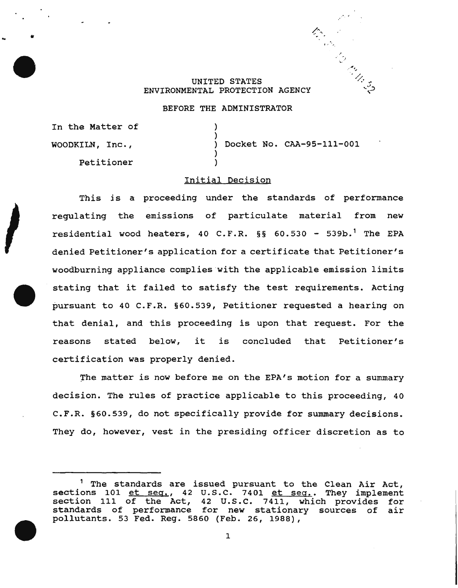## UNITED STATES ENVIRONMENTAL PROTECTION AGENCY

### BEFORE THE ADMINISTRATOR

) )

) )

In the Matter of

WOODKILN, Inc. ,

.. ,

Petitioner

) Docket No. CAA-95-111-001

 $\mathcal{O}(\mathcal{E})$ 

~  $\cdot$   $\cdot$   $\cdot$ ~.·

> ' $^{\prime}$  //. ... اني. ..

# Initial Decision

This is a proceeding under the standards of performance regulating the emissions of particulate material from new residential wood heaters, 40 C.F.R.  $\S$ § 60.530 - 539b.<sup>1</sup> The EPA denied Petitioner's application for a certificate that Petitioner's woodburning appliance complies with the applicable emission limits stating that it failed to satisfy the test requirements. Acting pursuant to 40 C.F.R. §60.539, Petitioner requested a hearing on that denial, and this proceeding is upon that request. For the reasons stated below, it is concluded that Petitioner's certification was properly denied.

The matter is now before me on the EPA's motion for a summary decision. The rules of practice applicable to this proceeding, 40 C.F.R. §60.539, do not specifically provide for summary decisions. They do, however, vest in the presiding officer discretion as to

<sup>&</sup>lt;sup>1</sup> The standards are issued pursuant to the Clean Air Act, sections 101 et seq., 42 U.S.C. 7401 et seq.. They implement sections for <u>compact</u>, 42 c.s.c. 7401 et seg.. They Imprement<br>section 111 of the Act, 42 U.S.C. 7411, which provides for section iii of the ACC, 42 0.5.C. 7411, which provides for<br>standards of performance for new stationary sources of air pollutants. 53 Fed. Reg. 5860 (Feb. 26, 1988),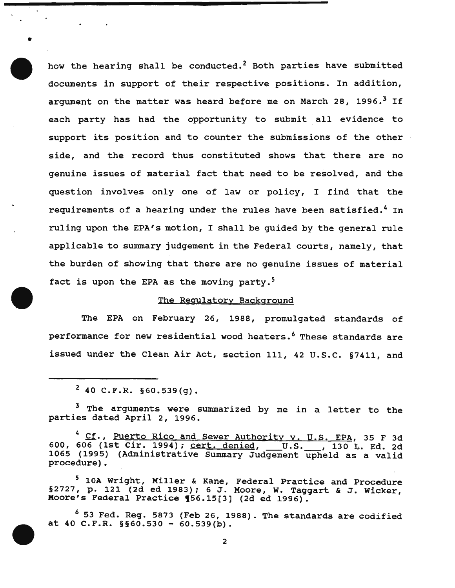how the hearing shall be conducted.<sup>2</sup> Both parties have submitted documents in support of their respective positions. In addition, argument on the matter was heard before me on March 28, 1996.<sup>3</sup> If each party has had the opportunity to submit all evidence to support its position and to counter the submissions of the other side, and the record thus constituted shows that there are no genuine issues of material fact that need to be resolved, and the question involves only one of law or policy, I find that the requirements of a hearing under the rules have been satisfied.<sup>4</sup> In ruling upon the EPA's motion, I shall be guided by the general rule applicable to summary judgement in the Federal courts, namely, that the burden of showing that there are no genuine issues of material fact is upon the EPA as the moving party.<sup>5</sup>

## The Regulatory Background

The EPA on February 26, 1988, promulgated standards of performance for new residential wood heaters.<sup>6</sup> These standards are issued under the Clean Air Act, section 111, 42 u.s.c. §7411, and

 $2$  40 C.F.R. §60.539(g).

•

<sup>3</sup> The arguments were summarized by me in a letter to the parties dated April 2, 1996.

<sup>4</sup> Cf., Puerto Rico and Sewer Authority v. U.S. EPA, 35 F 3d 600, 606 (1st Cir. 1994); cert. denied, \_\_\_ U.S. \_\_\_, 130 L. Ed. 2d 1065 (1995) (Administrative Summary Judgement upheld as a valid procedure).

<sup>5</sup> lOA Wright, Miller & Kane, Federal Practice and Procedure  $\S$ 2727, p. 121 (2d ed 1983); 6 J. Moore, W. Taggart & J. Wicker, Moore's Federal Practice 156.15[3] (2d ed 1996).

<sup>6</sup> 53 Fed. Reg. 5873 (Feb 26, 1988). The standards are codified at 40 C.F.R. §§60.530 - 60.539(b).

2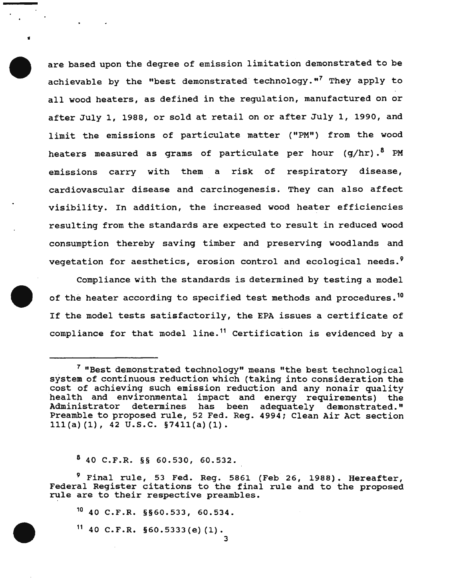are based upon the degree of emission limitation demonstrated to be achievable by the "best demonstrated technology."<sup>7</sup> They apply to all wood heaters, as defined in the regulation, manufactured on or after July 1, 1988, or sold at retail on or after July 1, 1990, and limit the emissions of particulate matter ("PM") from the wood heaters measured as grams of particulate per hour  $(q/hr) .$ <sup>8</sup> PM emissions carry with them a risk of respiratory disease, cardiovascular disease and carcinogenesis. They can also affect visibility. In addition, the increased wood heater efficiencies resulting from the standards are expected to result in reduced wood consumption thereby saving timber and preserving woodlands and vegetation for aesthetics, erosion control and ecological needs.<sup>9</sup>

Compliance with the standards is determined by testing a model of the heater according to specified test methods and procedures.<sup>10</sup> If the model tests satisfactorily, the EPA issues a certificate of compliance for that model line.<sup>11</sup> Certification is evidenced by a

 $840$  C.F.R. §§ 60.530, 60.532.

•

<sup>9</sup> Final rule, 53 Fed. Reg. 5861 (Feb 26, 1988). Hereafter, Federal Register citations to the final rule and to the proposed rule are to their respective preambles.

3

10 40 C.F.R. §§60.533, 60.534.

 $11$  40 C.F.R. §60.5333(e)(1).

<sup>7 &</sup>quot;Best demonstrated technology" means "the best technological system of continuous reduction which (taking into consideration the cost of achieving such emission reduction and any nonair quality health and environmental impact and energy requirements) the Administrator determines has been adequately demonstrated." Preamble to proposed rule, 52 Fed. Reg. 4994; Clean Air Act section lll(a) (1), 42 u.s.c. §74ll(a) (1).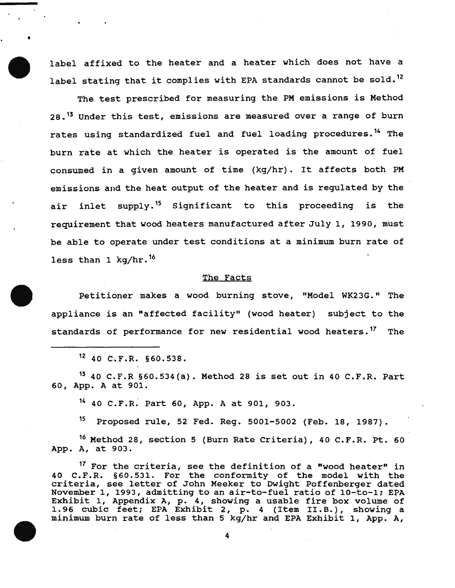label affixed to the heater and a heater which does not have a label stating that it complies with EPA standards cannot be sold.<sup>12</sup>

The test prescribed for measuring the PM emissions is Method 28.<sup>13</sup> Under this test, emissions are measured over a range of burn rates using standardized fuel and fuel loading procedures.<sup>14</sup> The burn rate at which the heater is operated is the amount of fuel consumed in a given amount of time (kg/hr). It affects both PM emissions and the heat output of the heater and is regulated by the air inlet supply.<sup>15</sup> Significant to this proceeding is the requirement that wood heaters manufactured after July 1, 1990, must be able to operate under test conditions at a minimum burn rate of less than 1 kg/hr.<sup>16</sup>

#### The Facts

Petitioner makes a wood burning stove, "Model WK23G." The appliance is an "affected facility" (wood heater) subject to the standards of performance for new residential wood heaters.<sup>17</sup> The

1Z 40 C.F.R. §60.538.

•

 $13$  40 C.F.R §60.534(a). Method 28 is set out in 40 C.F.R. Part 60, App. A at 901.

14 40 C.F.R. Part 60, App. A at 901, 903.

15 Proposed rule, 52 Fed. Reg. 5001-5002 {feb. 18, 1987).

16 Method 28, section 5 (Burn Rate Criteria), 40 C.F.R. Ft. 60 App. A, at 903.

17 For the criteria, see the definition of a "wood heater" in 40 C.F.R. §60.531. For the conformity of the model with the criteria, see letter of John Meeker to Dwight Poffenberger dated November 1, 1993, admitting to an air-to-fuel ratio of 10-to-1; EPA Exhibit 1, Appendix A, p. 4, showing a usable fire box volume of 1.96 cubic feet; EPA Exhibit 2, p. 4 (Item II.B.), showing a minimum burn rate of less than 5 kg/hr and EPA Exhibit 1, App. A,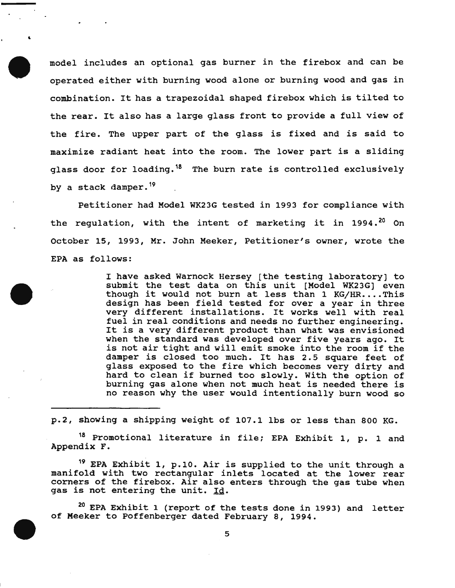model includes an optional gas burner in the firebox and can be operated either with burning wood alone or burning wood and gas in combination. It has a trapezoidal shaped firebox which is tilted to the rear. It also has a large glass front to provide a full view of the fire. The upper part of the glass is fixed and is said to maximize radiant heat into the room. The lower part is a sliding glass door for loading.<sup>18</sup> The burn rate is controlled exclusively by a stack damper.<sup>19</sup>

..

Petitioner had Model WK23G tested in 1993 for compliance with the regulation, with the intent of marketing it in 1994.<sup>20</sup> On October 15, 1993, Mr. John Meeker, Petitioner's owner, wrote the EPA as follows:

> I have asked Warnock Hersey [the testing laboratory) to submit the test data on this unit [Model WK23G] even though it would not burn at less than 1 KG/HR....This design has been field tested for over a year in three very different installations. It works well with real fuel in real conditions and needs no further engineering. It is a very different product than what was envisioned when the standard was developed over five years ago. It is not air tight and will emit smoke into the room if the damper is closed too much. It has 2.5 square feet of glass exposed to the fire which becomes very dirty and hard to clean if burned too slowly. With the option of burning gas alone when not much heat is needed there is no reason why the user would intentionally burn wood so

p.2, showing a shipping weight of 107.1 lbs or less than 800 KG.

18 Promotional literature in file; EPA Exhibit 1, p. 1 and Appendix F.

19 EPA Exhibit 1, p.lO. Air is supplied to the unit through a manifold with two rectangular inlets located at the lower rear corners of the firebox. Air also enters through the gas tube when gas is not entering the unit. Id.

<sup>20</sup> EPA Exhibit 1 (report of the tests done in 1993) and letter of Meeker to Poffenberger dated February 8, 1994.

5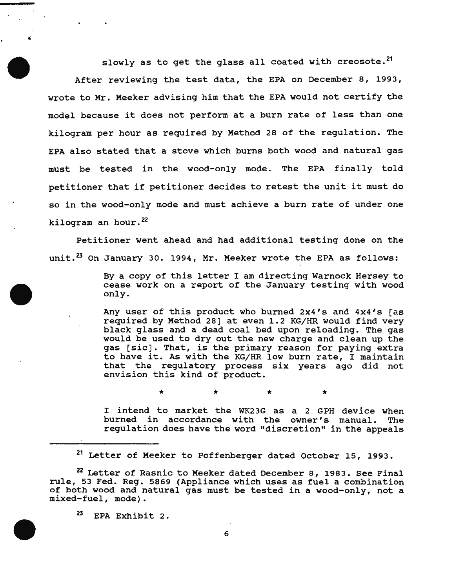slowly as to get the glass all coated with creosote.<sup>21</sup> After reviewing the test data, the EPA on December 8, 1993, wrote to Mr. Meeker advising him that the EPA would not certify the model because it does not perform at a burn rate of less than one kilogram per hour as required by Method 28 of the regulation. The EPA also stated that a stove which burns both wood and natural gas must be tested in the wood-only mode. The EPA finally told petitioner that if petitioner decides to retest the unit it must do so in the wood-only mode and must achieve a burn rate of under one kilogram an hour.<sup>22</sup>

Petitioner went ahead and had additional testing done on the unit. $^{23}$  On January 30. 1994, Mr. Meeker wrote the EPA as follows:

> By a copy of this letter I am directing Warnock Hersey to cease work on a report of the January testing with wood only.

> Any user of this product who burned 2x4's and 4x4's [as required by Method 28] at even 1.2 KG/HR would find very black glass and a dead coal bed upon reloading. The gas would be used to dry out the new charge and clean up the gas [sic]. That, is the primary reason for paying extra to have it. As with the KG/HR low burn rate, I maintain that the regulatory process six years ago did not envision this kind of product.

> I intend to market the WK23G as a 2 GPH device when burned in accordance with the owner's manual. regulation does have the word "discretion" in the appeals

\* \* \* \*

<sup>21</sup> Letter of Meeker to Poffenberger dated October 15, 1993.

<sup>22</sup> Letter of Rasnic to Meeker dated December 8, 1983. See Final rule, 53 Fed. Reg. 5869 (Appliance which uses as fuel a combination of both wood and natural gas must be tested in a wood-only, not a mixed-fuel, mode).

<sup>23</sup> EPA Exhibit 2.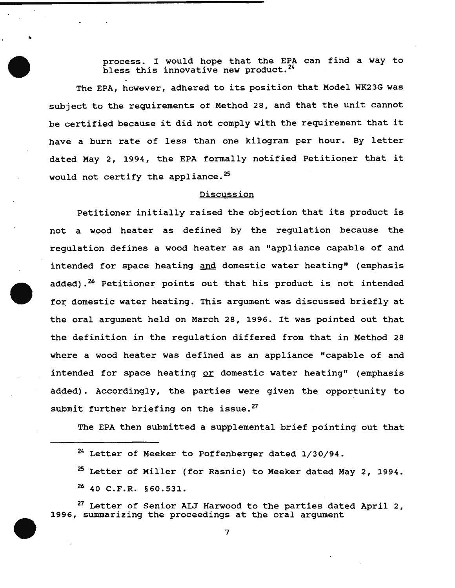process. I would hope that the EPA can find a way to bless this innovative new product.<sup>24</sup>

The EPA, however, adhered to its position that Model WK23G was subject to the requirements of Method 28, and that the unit cannot be certified because it did not comply with the requirement that it have a burn rate of less than one kilogram per hour. By letter dated May 2, 1994, the EPA formally notified Petitioner that it would not certify the appliance.<sup>25</sup>

# Discussion

Petitioner initially raised the objection that its product is not a wood heater as defined by the regulation because the regulation defines a wood heater as an "appliance capable of and intended for space heating and domestic water heating" (emphasis added).<sup>26</sup> Petitioner points out that his product is not intended for domestic water heating. This argument was discussed briefly at the oral argument held on March 28, 1996. It was pointed out that the definition in the regulation differed from that in Method 28 where a wood heater was defined as an appliance "capable of and intended for space heating or domestic water heating" (emphasis added). Accordingly, the parties were given the opportunity to submit further briefing on the issue.<sup>27</sup>

The EPA then submitted a supplemental brief pointing out that

•

<sup>27</sup> Letter of Senior ALJ Harwood to the parties dated April 2, 1996, summarizing the proceedings at the oral argument

<sup>24</sup> Letter of Meeker to Poffenberger dated 1/30/94.

<sup>&</sup>lt;sup>25</sup> Letter of Miller (for Rasnic) to Meeker dated May 2, 1994.

*u* 40 C.F.R. §60.531.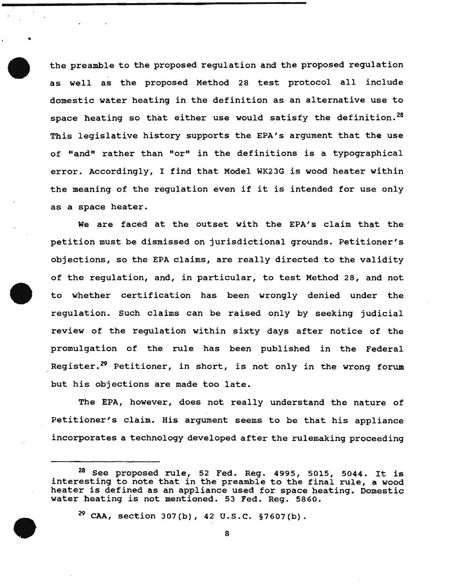the preamble to the proposed regulation and the proposed regulation as well as the proposed Method 28 test protocol all include domestic water heating in the definition as an alternative use to space heating so that either use would satisfy the definition.<sup>28</sup> This legislative history supports the EPA's argument that the use of "and" rather than "or" in the definitions is a typographical error. Accordingly, I find that Model WK23G is wood heater within the meaning of the regulation even if it is intended for use only as a space heater.

We are faced at the outset with the EPA's claim that the petition must be dismissed on jurisdictional grounds. Petitioner's objections, so the EPA claims, are really directed to the validity of the regulation, and, in particular, to test Method 28, and not to whether certification has been wrongly denied under the regulation. such claims can be raised only by seeking judicial review of the regulation within sixty days after notice of the promulgation of the rule has been published in the Federal Reqister.<sup>29</sup> Petitioner, in short, is not only in the wrong forum but his objections are made too late.

The EPA, however, does not really understand the nature of Petitioner's claim. His argument seems to be that his appliance incorporates a technology developed after the rulemaking proceeding

 $^{29}$  CAA, section 307(b), 42 U.S.C. §7607(b).

 $^{28}$  See proposed rule, 52 Fed. Reg. 4995, 5015, 5044. It is interesting to note that in the preamble to the final rule, a wood heater is defined as an appliance used for space heating. Domestic water heating *is* not mentioned. 53 Fed. Reg. 5860.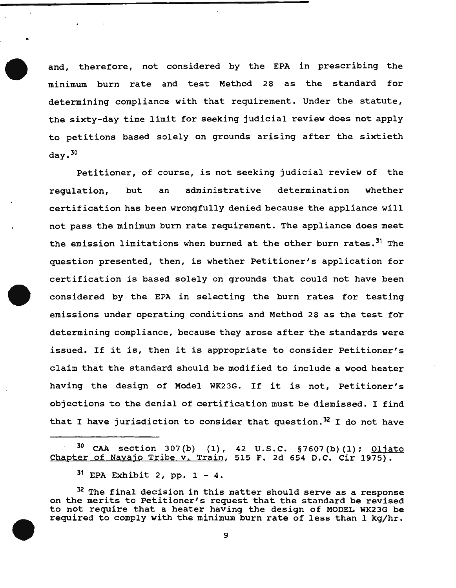and, therefore, not considered by the EPA in prescribing the minimum burn rate and test Method 28 as the standard for determining compliance with that requirement. Under the statute, the sixty-day time limit for seeking judicial review does not apply to petitions based solely on grounds arising after the sixtieth  $day.$ <sup>30</sup>

Petitioner, of course, is not seeking judicial review of the regulation, but an administrative determination whether certification has been wrongfully denied because the appliance will not pass the minimum burn rate requirement. The appliance does meet the emission limitations when burned at the other burn rates.<sup>31</sup> The question presented, then, is whether Petitioner's application for certification is based solely on grounds that could not have been considered by the EPA in selecting the burn rates for testing emissions under operating conditions and Method 28 as the test for determining compliance, because they arose after the standards were issued. If it is, then it is appropriate to consider Petitioner's claim that the standard should be modified to include a wood heater having the design of Model WK23G. If it is not, Petitioner's objections to the denial of certification must be dismissed. I find that I have jurisdiction to consider that question.<sup>32</sup> I do not have

•

<sup>&</sup>lt;sup>30</sup> CAA section 307(b) (1), 42 U.S.C. §7607(b)(1); <u>Oljato</u> Chapter of Navajo Tribe v. Train, 515 F. 2d 654 D.C. Cir 1975).

 $31$  EPA Exhibit 2, pp.  $1 - 4$ .

<sup>&</sup>lt;sup>32</sup> The final decision in this matter should serve as a response on the merits to Petitioner's request that the standard be revised to not require that a heater having the design of MODEL WK23G be required to comply with the minimum burn rate of less than 1 kg/hr.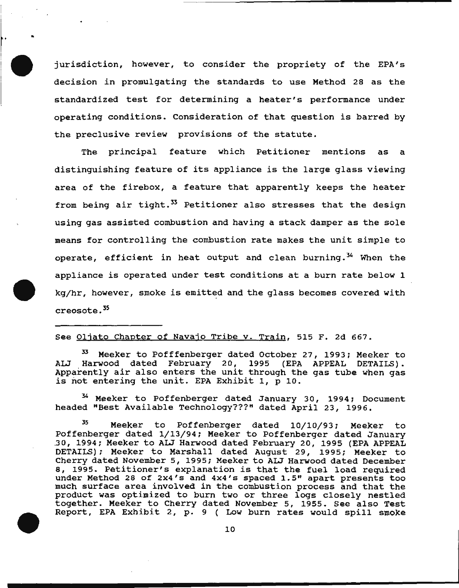jurisdiction, however, to consider the propriety of the EPA's decision in promulgating the standards to use Method 28 as the standardized test for determining a heater's performance under operating conditions. Consideration of that question is barred by the preclusive review provisions of the statute.

 $\mathbb{I}$ 

I· ..

The principal feature which Petitioner mentions as a distinguishing feature of its appliance is the large glass viewing area of the firebox, a feature that apparently keeps the heater from being air tight. $33$  Petitioner also stresses that the design using gas assisted combustion and having a stack damper as the sole means for controlling the combustion rate makes the unit simple to operate, efficient in heat output and clean burning.<sup>34</sup> When the appliance is operated under test conditions at a burn rate below 1 kg/hr, however, smoke is emitted and the glass becomes covered with creosote. 35

## See Oljato Chapter of Navajo Tribe v. Train, 515 F. 2d 667.

Meeker to Pofffenberger dated October 27, 1993; Meeker to ALJ Harwood dated February 20, 1995 (EPA APPEAL DETAILS). ALD Marwood dated rebruary 20, 1995 (EFA AFFEAD DETAILS).<br>Apparently air also enters the unit through the gas tube when gas is not entering the unit. EPA Exhibit 1, p 10.

<sup>34</sup> Meeker to Poffenberger dated January 30, 1994; Document headed "Best Available Technology???" dated April 23, 1996.

<sup>35</sup> Meeker to Poffenberger dated 10/10/93; Meeker to Poffenberger dated January 30, 1994; Meeker to ALJ Harwood dated February 20, 1995 (EPA APPEAL DETAILS) ; Meeker to Marshall dated August 29, 1995; Meeker to Cherry dated November 5, 1995; Meeker to ALJ Harwood dated December 8, 1995. Petitioner's explanation is that the fuel load required under Method 28 of 2x4's and 4x4's spaced 1.5" apart presents too much surface area involved in the combustion process and that the product was optimized to burn two or three logs closely nestled together. Meeker to Cherry dated November 5, 1955. See also Test Report, EPA Exhibit 2, p. 9 ( Low burn rates would spill smoke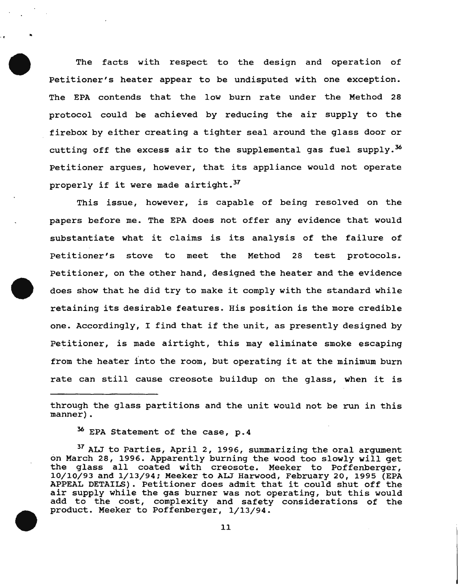The facts with respect to the design and operation of Petitioner's heater appear to be undisputed with one exception. The EPA contends that the low burn rate under the Method 28 protocol could be achieved by reducing the air supply to the firebox by either creating a tighter seal around the glass door or cutting off the excess air to the supplemental gas fuel supply.<sup>36</sup> Petitioner argues, however, that its appliance would not operate properly if it were made airtight.<sup>37</sup>

This issue, however, is capable of being resolved on the papers before me. The EPA does not offer any evidence that would substantiate what it claims is its analysis of the failure of Petitioner's stove to meet the Method 28 test protocols. Petitioner, on the other hand, designed the heater and the evidence does show that he did try to make it comply with the standard while retaining its desirable features. His position is the more credible one. Accordingly, I find that if the unit, as presently designed by Petitioner, is made airtight, this may eliminate smoke escaping from the heater into the room, but operating it at the minimum burn rate can still cause creosote buildup on the glass, when it is

through the glass partitions and the unit would not be run in this manner).

<sup>36</sup> EPA Statement of the case, p.4

..

<sup>57</sup> ALJ to Parties, April 2, 1996, summarizing the oral argument on March 28, 1996. Apparently burning the wood too slowly will get the glass all coated with creosote. Meeker to Poffenberger, 10/10/93 and 1/13/94; Meeker to ALJ Harwood, February 20, 1995 (EPA APPEAL DETAILS). Petitioner does admit that it could shut off the air supply while the gas burner was not operating, but this would add to the cost, complexity and safety considerations of the product. Meeker to Poffenberger, 1/13/94.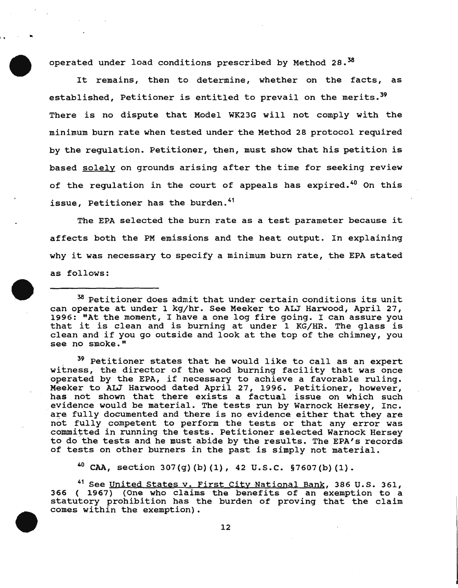operated under load conditions prescribed by Method 28.<sup>38</sup>

 $\mathbf{r} = \mathbf{r} \times \mathbf{R}$ 

It remains, then to determine, whether on the facts, as established, Petitioner is entitled to prevail on the merits.<sup>39</sup> There is no dispute that Model WK23G will not comply with the minimum burn rate when tested under the Method 28 protocol required by the regulation. Petitioner, then, must show that his petition is based solely on grounds arising after the time for seeking review of the regulation in the court of appeals has expired.<sup>40</sup> On this issue, Petitioner has the burden.<sup>41</sup>

The EPA selected the burn rate as a test parameter because it affects both the PM emissions and the heat output. In explaining why it was necessary to specify a minimum burn rate, the EPA stated as follows:

<sup>39</sup> Petitioner states that he would like to call as an expert witness, the director of the wood burning facility that was once withess, the director of the wood burning facility that was once<br>operated by the EPA, if necessary to achieve a favorable ruling. Meeker to ALJ Harwood dated April 27, 1996. Petitioner, however, has not shown that there exists a factual issue on which such evidence would be material. The tests run by Warnock Hersey, Inc.<br>are fully documented and there is no evidence either that they are not fully competent to perform the tests or that any error was committed in running the tests. Petitioner selected Warnock Hersey to do the tests and he must abide by the results. The EPA's records of tests on other burners in the past is simply not material.

<sup>40</sup> CAA, section 307(g)(b)(1), 42 U.S.C. §7607(b)(1).

<sup>41</sup> See United States v. First City National Bank, 386 U.S. 361, 366 ( 1967) {One who claims the benefits of an exemption to a statutory prohibition has the burden of proving that the claim comes within the exemption).

<sup>&</sup>lt;sup>38</sup> Petitioner does admit that under certain conditions its unit can operate at under 1 kg/hr. See Meeker to ALJ Harwood, April 27, Lan operate at ander I kg/m. See heeker to Alb harwood, April 27,<br>1996: "At the moment, I have a one log fire going. I can assure you 1996: "At the moment, I have a one log fire going. I can assure you<br>that it is clean and is burning at under 1 KG/HR. The glass is clean and if you go outside and look at the top of the chimney, you see no smoke."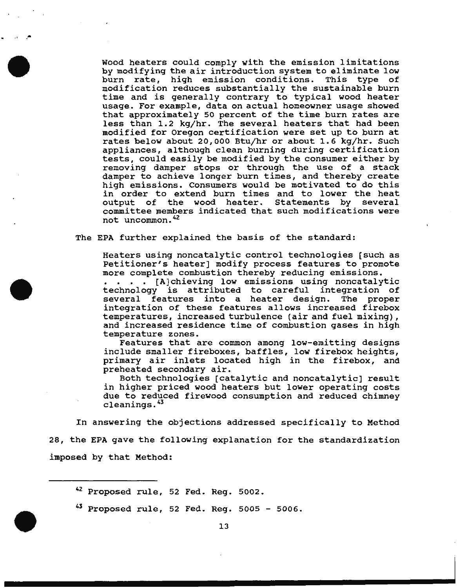wood heaters could comply with the emission limitations by modifying the air introduction system to eliminate low burn rate, high emission conditions. This type of modification reduces substantially the sustainable burn time and is generally contrary to typical wood heater usage. For example, data on actual homeowner usage showed that approximately 50 percent of the time burn rates are less than 1.2 kg/hr. The several heaters that had been modified for Oregon certification were set up to burn at rates below about 20,000 Btujhr or about 1.6 kg/hr. Such appliances, although clean burning during certification tests, could easily be modified by the consumer either by removing damper stops or through the use of a stack damper to achieve longer burn times, and thereby create high emissions. Consumers would be motivated to do this in order to extend burn times and to lower the heat<br>output of the wood heater. Statements by several output of the wood heater. Statements by committee members indicated that such modifications were not uncommon. 42

The EPA further explained the basis of the standard:

<sup>j</sup> l ...

Heaters using noncatalytic control technologies (such as Petitioner's heater] modify process features to promote more complete combustion thereby reducing emissions.

. . . . [A] chieving low emissions using noncatalytic technology is attributed to careful integration of several features into a heater design. integration of these features allows increased firebox temperatures, increased turbulence (air and fuel mixing), and increased residence time of combustion gases in high temperature zones.

Features that are common among low-emitting designs include smaller fireboxes, baffles, low firebox heights, primary air inlets located high in the firebox, and preheated secondary air.

Both technologies [catalytic and noncatalytic] result in higher priced wood heaters but lower operating costs due to reduced firewood consumption and reduced chimney cleanings. <sup>43</sup>

In answering the objections addressed specifically to Method 28, the EPA gave the following explanation for the standardization imposed by that Method:

<sup>&</sup>lt;sup>42</sup> Proposed rule, 52 Fed. Reg. 5002.

 $^{43}$  Proposed rule, 52 Fed. Req. 5005 - 5006.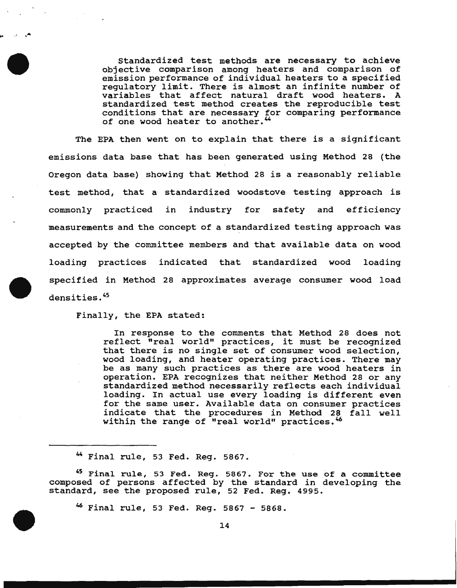Standardized test methods are necessary to achieve objective comparison among heaters and comparison of emission performance of individual heaters to a specified emission performance of individual neuters to a specified<br>regulatory limit. There is almost an infinite number of variables that affect natural draft wood heaters. A standardized test method creates the reproducible test conditions that are necessary for comparing performance of one wood heater to another.<sup>44</sup>

The EPA then went on to explain that there is a significant emissions data base that has been generated using Method 28 (the Oregon data base) showing that Method 28 is a reasonably reliable test method, that a standardized woodstove testing approach is commonly practiced in industry for safety and efficiency measurements and the concept of a standardized testing approach was accepted by the committee members and that available data on wood loading practices indicated that standardized wood loading specified in Method 28 approximates average consumer wood load densities. 45

Finally, the EPA stated:

 $\bullet$  . In the  $\bullet$ 

In response to the comments that Method 28 does not In response to the comments that Method 28 does not<br>reflect "real world" practices, it must be recognized that there is no single set of consumer wood selection, wood loading, and heater operating practices. There may be as many such practices as there are wood heaters in operation. EPA recognizes that neither Method 28 or any standardized method necessarily reflects each individual loading. In actual use every loading is different even for the same user. Available data on consumer practices indicate that the procedures in Method 28 fall well within the range of "real world" practices.<sup>46</sup>

<sup>~</sup>Final rule, 53 Fed. Reg. 5867.

<sup>45</sup> Final rule, 53 Fed. Reg. 5867. For the use of a committee composed of persons affected by the standard in developing the standard, see the proposed rule, 52 Fed. Reg. 4995.

<sup>~</sup>Final rule, 53 Fed. Reg. 5867 - 5868.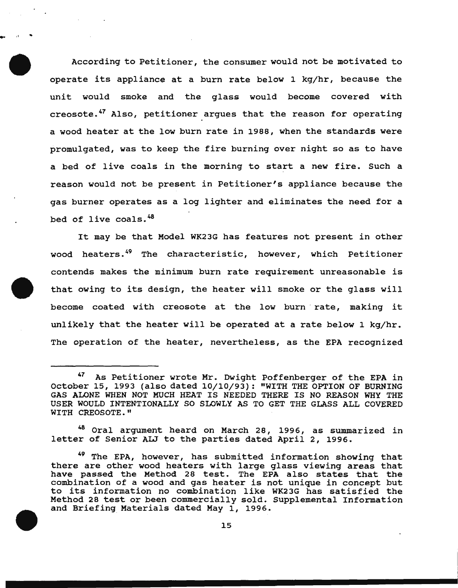According to Petitioner, the consumer would not be motivated to operate its appliance at a burn rate below 1 kg/hr, because the unit would smoke and the glass would become covered with creosote.<sup>47</sup> Also, petitioner argues that the reason for operating a wood heater at the low burn rate in 1988, when the standards were promulgated, was to keep the fire burning over night so as to have a bed of live coals in the morning to start a new fire. Such a reason would not be present in Petitioner's appliance because the gas burner operates as a log lighter and eliminates the need for a bed of live coals.<sup>48</sup>

.. ,, ..

It may be that Model WK23G has features not present in other wood heaters.<sup>49</sup> The characteristic, however, which Petitioner contends makes the minimum burn rate requirement unreasonable is that owing to its design, the heater will smoke or the glass will become coated with creosote at the low burn · rate, making it unlikely that the heater will be operated at a rate below 1 kg/hr. The operation of the heater, nevertheless, as the EPA recognized

<sup>48</sup> Oral argument heard on March 28, 1996, as summarized in letter of Senior ALJ to the parties dated April 2, 1996.

<sup>47</sup> As Petitioner wrote Mr. Dwight Poffenberger of the EPA in October 15, 1993 (also dated 10/10/93): "WITH THE OPTION OF BURNING GAS ALONE WHEN NOT MUCH HEAT IS NEEDED THERE IS NO REASON WHY THE USER WOULD INTENTIONALLY SO SLOWLY AS TO GET THE GLASS ALL COVERED WITH CREOSOTE."

<sup>&</sup>lt;sup>49</sup> The EPA, however, has submitted information showing that there are other wood heaters with large glass viewing areas that have passed the Method 28 test. The EPA also states that the combination of a wood and gas heater is not unique in concept but to its information no combination like WK23G has satisfied the Method 28 test or been commercially sold. Supplemental Information and Briefing Materials dated May 1, 1996.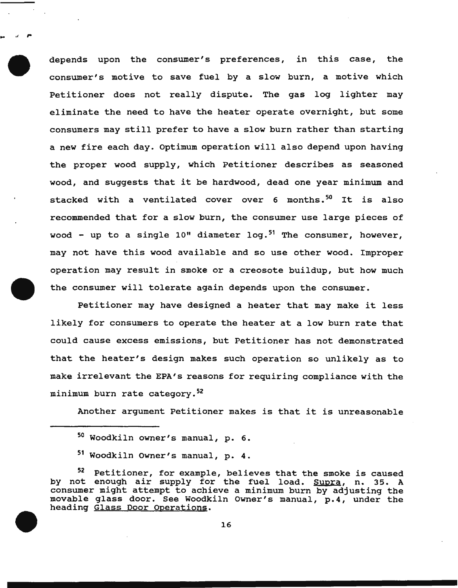depends upon the consumer's preferences, in this case, the consumer's motive to save fuel by a slow burn, a motive which Petitioner does not really dispute. The gas log lighter may eliminate the need to have the heater operate overnight, but some consumers may still prefer to have a slow burn rather than starting a new fire each day. Optimum operation will also depend upon having the proper wood supply, which Petitioner describes as seasoned wood, and suggests that it be hardwood, dead one year minimum and stacked with a ventilated cover over 6 months.<sup>50</sup> It is also recommended that for a slow burn, the consumer use large pieces of wood - up to a single 10" diameter  $log.^{51}$  The consumer, however, may not have this wood available and so use other wood. Improper operation may result in smoke or a creosote buildup, but how much the consumer will tolerate again depends upon the consumer.

Petitioner may have designed a heater that may make it less likely for consumers to operate the heater at a low burn rate that could cause excess emissions, but Petitioner has not demonstrated that the heater's design makes such operation so unlikely as to make irrelevant the EPA's reasons for requiring compliance with the minimum burn rate category.<sup>52</sup>

Another argument Petitioner makes is that it is unreasonable

... " ,.

<sup>50</sup> Woodkiln owner's manual, p. 6.

<sup>51</sup> Woodkiln owner's manual, p. 4.

<sup>52</sup> Petitioner, for example, believes that the smoke is caused by not enough air supply for the fuel load. Supra, n. 35. A consumer might attempt to achieve a minimum burn by adjusting the movable glass door. See Woodkiln owner's manual, p.4, under the heading Glass Door Operations.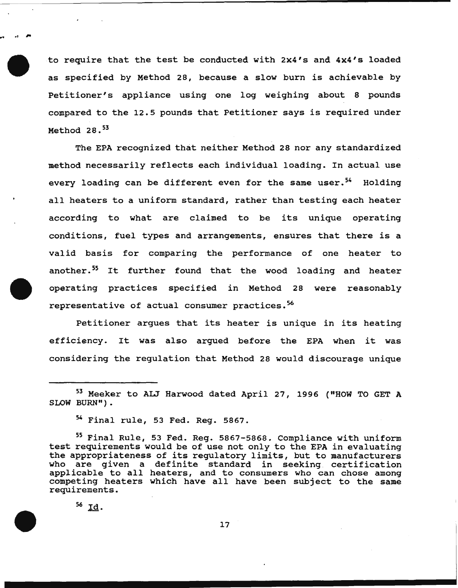to require that the test be conducted with 2x4's and 4x4's loaded as specified by Method 28, because a slow burn is achievable by Petitioner's appliance using one log weighing about 8 pounds compared to the 12.5 pounds that Petitioner says is required under Method  $28.$ <sup>53</sup>

The EPA recognized that neither Method 28 nor any standardized method necessarily reflects each individual loading. In actual use every loading can be different even for the same user.<sup>54</sup> Holding all heaters to a uniform standard, rather than testing each heater according to what are claimed to be its unique operating conditions, fuel types and arrangements, ensures that there is a valid basis for comparing the performance of one heater to another.<sup>55</sup> It further found that the wood loading and heater operating practices specified in Method 28 were reasonably representative of actual consumer practices.<sup>56</sup>

Petitioner argues that its heater is unique in its heating efficiency. It was also argued before the EPA when it was considering the regulation that Method 28 would discourage unique

 $54$  Final rule, 53 Fed. Req. 5867.

<sup>55</sup> Final Rule, 53 Fed. Reg. 5867-5868. Compliance with uniform test requirements would be of use not only to the EPA in evaluating the appropriateness of its regulatory limits, but to manufacturers who are given a definite standard in seeking certification applicable to all heaters, and to consumers who can chose among competing heaters which have all have been subject to the same requirements.

 $56$  Id.

.. ,.

17

<sup>53</sup> Meeker to AIJ Harwood dated April 27, 1996 ("HOW TO GET A SLOW BURN").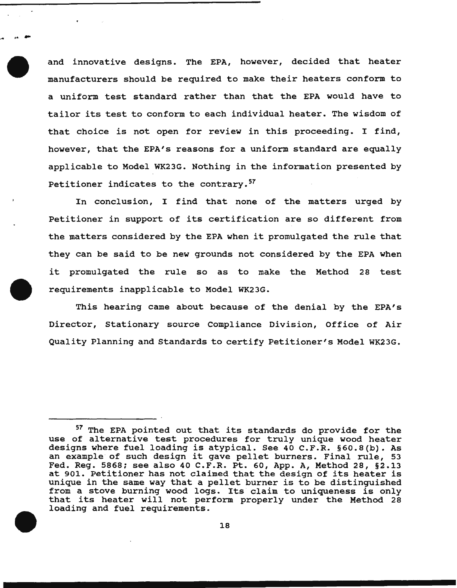and innovative designs. The EPA, however, decided that heater manufacturers should be required to make their heaters conform to a uniform test standard rather than that the EPA would have to tailor its test to conform to each individual heater. The wisdom of that choice is not open for review in this proceeding. I find, however, that the EPA's reasons for a uniform standard are equally applicable to Model WK23G. Nothing in the information presented by Petitioner indicates to the contrary.<sup>57</sup>

.....

In conclusion, I find that none of the matters urged by Petitioner in support of its certification are so different from the matters considered by the EPA when it promulgated the rule that they can be said to be new grounds not considered by the EPA when it promulgated the rule so as to make the Method 28 test requirements inapplicable to Model WK23G.

This hearing came about because of the denial by the EPA's Director, stationary source Compliance Division, Office of Air Quality Planning and Standards to certify Petitioner's Model WK23G.

<sup>&</sup>lt;sup>57</sup> The EPA pointed out that its standards do provide for the use of alternative test procedures for truly unique wood heater designs where fuel loading is atypical. See 40 C.F.R. §60.8(b). As an example of such design it gave pellet burners. Final rule, 53 Fed. Reg. 5868; see also 40 C.F.R. Pt. 60, App. A, Method 28, §2.13 at 901. Petitioner has not claimed that the design of its heater is at 501. Fecttioner has not claimed that the design of its heater is<br>unique in the same way that a pellet burner is to be distinguished from a stove burning wood logs. Its claim to uniqueness is only that its heater will not perform properly under the Method 28 loading and fuel requirements.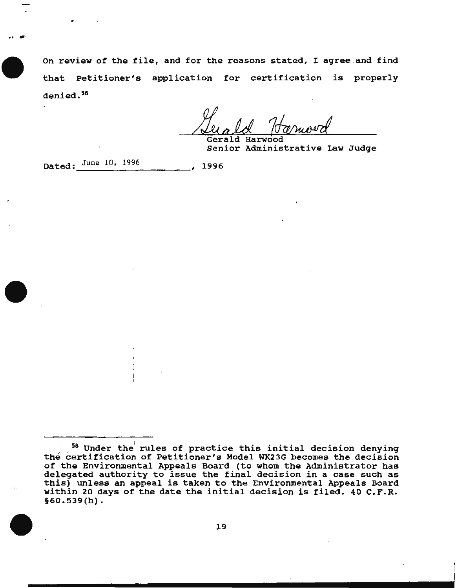on review of the file, and for the reasons stated, I agree .and find that Petitioner's application for certification is properly denied.<sup>58</sup>

Gerald Harwood

Senior Administrative Law Judge

Dated:  $\frac{\text{June }10, 1996}{\text{June }}$  1996

<sup>&</sup>lt;sup>58</sup> Under the rules of practice this initial decision denying the certification of Petitioner's Model WK23G becomes the decision of the Environmental Appeals Board (to whom the Administrator has delegated authority to issue the final decision in a case such as delegated authority to issue the final decision in a case such as<br>this) unless an appeal is taken to the Environmental Appeals Board within 20 days of the date the initial decision is filed. 40 C.F.R. §60.539(h).